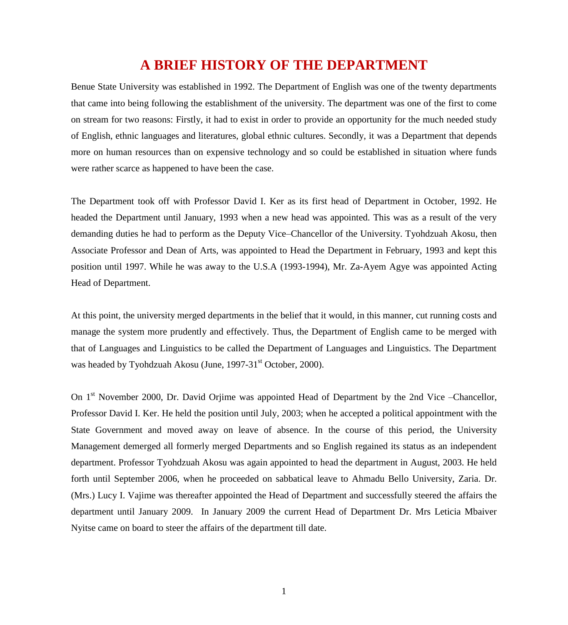# **A BRIEF HISTORY OF THE DEPARTMENT**

Benue State University was established in 1992. The Department of English was one of the twenty departments that came into being following the establishment of the university. The department was one of the first to come on stream for two reasons: Firstly, it had to exist in order to provide an opportunity for the much needed study of English, ethnic languages and literatures, global ethnic cultures. Secondly, it was a Department that depends more on human resources than on expensive technology and so could be established in situation where funds were rather scarce as happened to have been the case.

The Department took off with Professor David I. Ker as its first head of Department in October, 1992. He headed the Department until January, 1993 when a new head was appointed. This was as a result of the very demanding duties he had to perform as the Deputy Vice–Chancellor of the University. Tyohdzuah Akosu, then Associate Professor and Dean of Arts, was appointed to Head the Department in February, 1993 and kept this position until 1997. While he was away to the U.S.A (1993-1994), Mr. Za-Ayem Agye was appointed Acting Head of Department.

At this point, the university merged departments in the belief that it would, in this manner, cut running costs and manage the system more prudently and effectively. Thus, the Department of English came to be merged with that of Languages and Linguistics to be called the Department of Languages and Linguistics. The Department was headed by Tyohdzuah Akosu (June, 1997-31<sup>st</sup> October, 2000).

On 1<sup>st</sup> November 2000, Dr. David Orjime was appointed Head of Department by the 2nd Vice –Chancellor, Professor David I. Ker. He held the position until July, 2003; when he accepted a political appointment with the State Government and moved away on leave of absence. In the course of this period, the University Management demerged all formerly merged Departments and so English regained its status as an independent department. Professor Tyohdzuah Akosu was again appointed to head the department in August, 2003. He held forth until September 2006, when he proceeded on sabbatical leave to Ahmadu Bello University, Zaria. Dr. (Mrs.) Lucy I. Vajime was thereafter appointed the Head of Department and successfully steered the affairs the department until January 2009. In January 2009 the current Head of Department Dr. Mrs Leticia Mbaiver Nyitse came on board to steer the affairs of the department till date.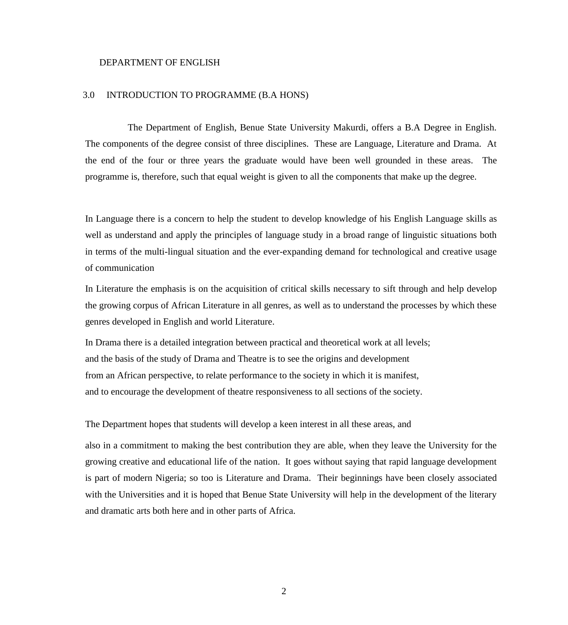#### DEPARTMENT OF ENGLISH

#### 3.0 INTRODUCTION TO PROGRAMME (B.A HONS)

The Department of English, Benue State University Makurdi, offers a B.A Degree in English. The components of the degree consist of three disciplines. These are Language, Literature and Drama. At the end of the four or three years the graduate would have been well grounded in these areas. The programme is, therefore, such that equal weight is given to all the components that make up the degree.

In Language there is a concern to help the student to develop knowledge of his English Language skills as well as understand and apply the principles of language study in a broad range of linguistic situations both in terms of the multi-lingual situation and the ever-expanding demand for technological and creative usage of communication

In Literature the emphasis is on the acquisition of critical skills necessary to sift through and help develop the growing corpus of African Literature in all genres, as well as to understand the processes by which these genres developed in English and world Literature.

In Drama there is a detailed integration between practical and theoretical work at all levels; and the basis of the study of Drama and Theatre is to see the origins and development from an African perspective, to relate performance to the society in which it is manifest, and to encourage the development of theatre responsiveness to all sections of the society.

#### The Department hopes that students will develop a keen interest in all these areas, and

also in a commitment to making the best contribution they are able, when they leave the University for the growing creative and educational life of the nation. It goes without saying that rapid language development is part of modern Nigeria; so too is Literature and Drama. Their beginnings have been closely associated with the Universities and it is hoped that Benue State University will help in the development of the literary and dramatic arts both here and in other parts of Africa.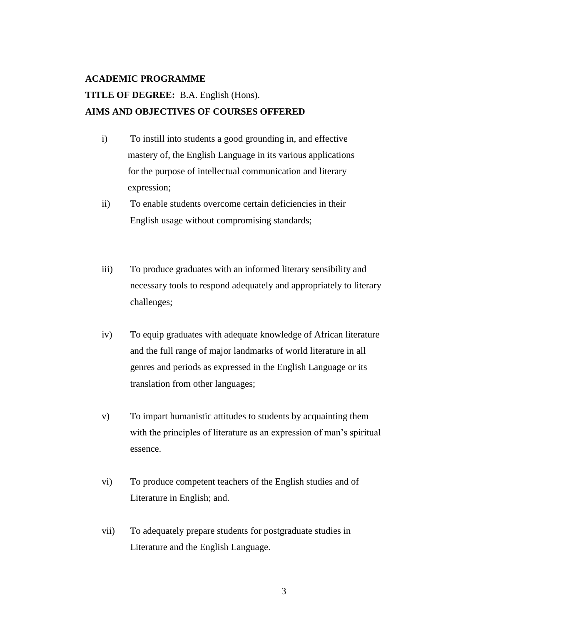#### **ACADEMIC PROGRAMME**

# **TITLE OF DEGREE:** B.A. English (Hons). **AIMS AND OBJECTIVES OF COURSES OFFERED**

- i) To instill into students a good grounding in, and effective mastery of, the English Language in its various applications for the purpose of intellectual communication and literary expression;
- ii) To enable students overcome certain deficiencies in their English usage without compromising standards;
- iii) To produce graduates with an informed literary sensibility and necessary tools to respond adequately and appropriately to literary challenges;
- iv) To equip graduates with adequate knowledge of African literature and the full range of major landmarks of world literature in all genres and periods as expressed in the English Language or its translation from other languages;
- v) To impart humanistic attitudes to students by acquainting them with the principles of literature as an expression of man's spiritual essence.
- vi) To produce competent teachers of the English studies and of Literature in English; and.
- vii) To adequately prepare students for postgraduate studies in Literature and the English Language.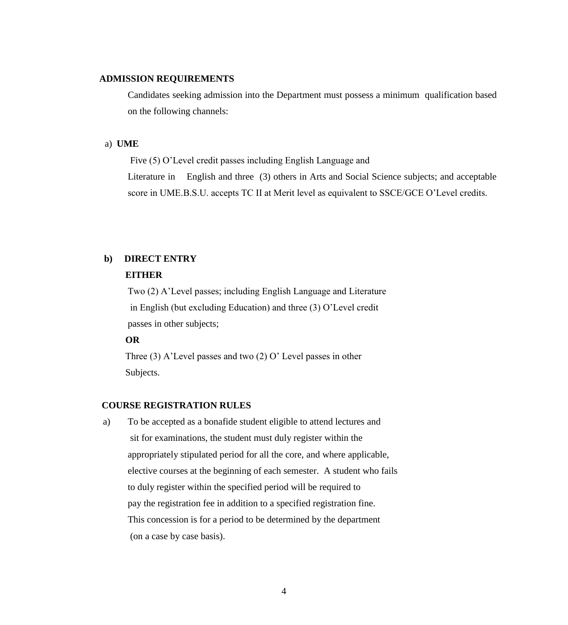#### **ADMISSION REQUIREMENTS**

Candidates seeking admission into the Department must possess a minimum qualification based on the following channels:

#### a) **UME**

Five (5) O"Level credit passes including English Language and

Literature in English and three (3) others in Arts and Social Science subjects; and acceptable score in UME.B.S.U. accepts TC II at Merit level as equivalent to SSCE/GCE O"Level credits.

## **b) DIRECT ENTRY**

#### **EITHER**

Two (2) A"Level passes; including English Language and Literature in English (but excluding Education) and three (3) O"Level credit passes in other subjects;

#### **OR**

Three  $(3)$  A'Level passes and two  $(2)$  O'Level passes in other Subjects.

## **COURSE REGISTRATION RULES**

a) To be accepted as a bonafide student eligible to attend lectures and sit for examinations, the student must duly register within the appropriately stipulated period for all the core, and where applicable, elective courses at the beginning of each semester. A student who fails to duly register within the specified period will be required to pay the registration fee in addition to a specified registration fine. This concession is for a period to be determined by the department (on a case by case basis).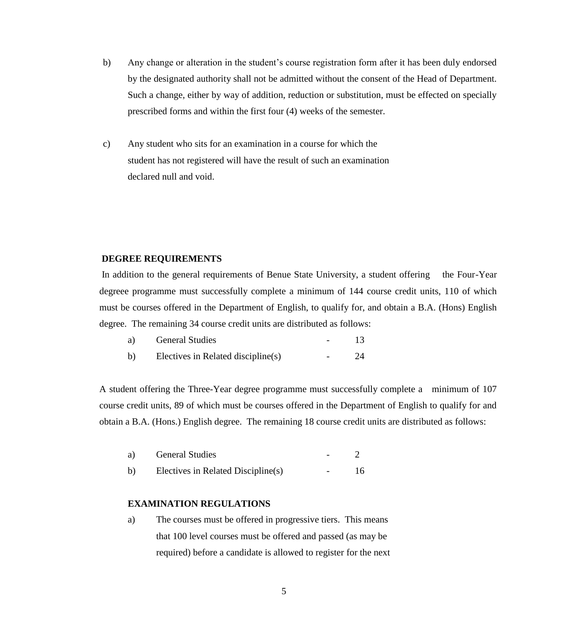- b) Any change or alteration in the student"s course registration form after it has been duly endorsed by the designated authority shall not be admitted without the consent of the Head of Department. Such a change, either by way of addition, reduction or substitution, must be effected on specially prescribed forms and within the first four (4) weeks of the semester.
- c) Any student who sits for an examination in a course for which the student has not registered will have the result of such an examination declared null and void.

#### **DEGREE REQUIREMENTS**

In addition to the general requirements of Benue State University, a student offering the Four-Year degreee programme must successfully complete a minimum of 144 course credit units, 110 of which must be courses offered in the Department of English, to qualify for, and obtain a B.A. (Hons) English degree. The remaining 34 course credit units are distributed as follows:

| a)           | <b>General Studies</b>             |  |
|--------------|------------------------------------|--|
| $\mathbf{b}$ | Electives in Related discipline(s) |  |

A student offering the Three-Year degree programme must successfully complete a minimum of 107 course credit units, 89 of which must be courses offered in the Department of English to qualify for and obtain a B.A. (Hons.) English degree. The remaining 18 course credit units are distributed as follows:

| a) | <b>General Studies</b>             |        |    |
|----|------------------------------------|--------|----|
| b) | Electives in Related Discipline(s) | $\sim$ | 16 |

#### **EXAMINATION REGULATIONS**

a) The courses must be offered in progressive tiers. This means that 100 level courses must be offered and passed (as may be required) before a candidate is allowed to register for the next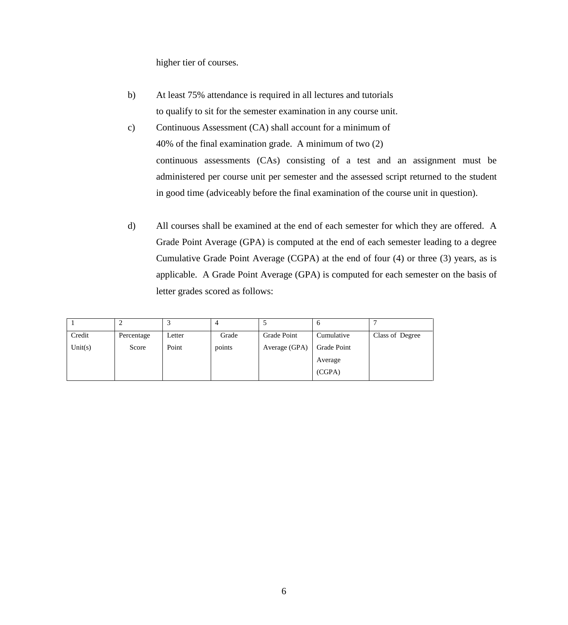higher tier of courses.

- b) At least 75% attendance is required in all lectures and tutorials to qualify to sit for the semester examination in any course unit.
- c) Continuous Assessment (CA) shall account for a minimum of 40% of the final examination grade. A minimum of two (2) continuous assessments (CAs) consisting of a test and an assignment must be administered per course unit per semester and the assessed script returned to the student in good time (adviceably before the final examination of the course unit in question).
- d) All courses shall be examined at the end of each semester for which they are offered. A Grade Point Average (GPA) is computed at the end of each semester leading to a degree Cumulative Grade Point Average (CGPA) at the end of four (4) or three (3) years, as is applicable. A Grade Point Average (GPA) is computed for each semester on the basis of letter grades scored as follows:

|         |            |        | 4      |               | O           |                 |
|---------|------------|--------|--------|---------------|-------------|-----------------|
| Credit  | Percentage | Letter | Grade  | Grade Point   | Cumulative  | Class of Degree |
| Unit(s) | Score      | Point  | points | Average (GPA) | Grade Point |                 |
|         |            |        |        |               | Average     |                 |
|         |            |        |        |               | (CGPA)      |                 |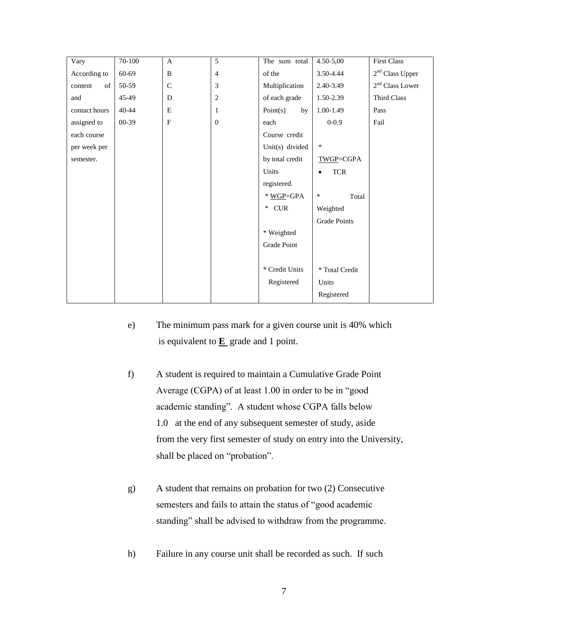| Vary          | 70-100    | $\mathbf{A}$ | 5              | The sum total   | $4.50 - 5,00$           | <b>First Class</b> |
|---------------|-----------|--------------|----------------|-----------------|-------------------------|--------------------|
| According to  | 60-69     | B            | $\overline{4}$ | of the          | 3.50-4.44               | $2nd$ Class Upper  |
| of<br>content | 50-59     | $\mathsf{C}$ | 3              | Multiplication  | 2.40-3.49               | $2nd$ Class Lower  |
| and           | 45-49     | D            | $\overline{c}$ | of each grade   | 1.50-2.39               | Third Class        |
| contact hours | $40 - 44$ | E            | 1              | Point(s)<br>by  | 1.00-1.49               | Pass               |
| assigned to   | 00-39     | $\mathbf{F}$ | $\overline{0}$ | each            | $0 - 0.9$               | Fail               |
| each course   |           |              |                | Course credit   |                         |                    |
| per week per  |           |              |                | Unit(s) divided | $\ast$                  |                    |
| semester.     |           |              |                | by total credit | TWGP=CGPA               |                    |
|               |           |              |                | Units           | <b>TCR</b><br>$\bullet$ |                    |
|               |           |              |                | registered.     |                         |                    |
|               |           |              |                | * WGP=GPA       | $\ast$<br>Total         |                    |
|               |           |              |                | CUR<br>$*$      | Weighted                |                    |
|               |           |              |                |                 | <b>Grade Points</b>     |                    |
|               |           |              |                | * Weighted      |                         |                    |
|               |           |              |                | Grade Point     |                         |                    |
|               |           |              |                |                 |                         |                    |
|               |           |              |                | * Credit Units  | * Total Credit          |                    |
|               |           |              |                | Registered      | Units                   |                    |
|               |           |              |                |                 | Registered              |                    |

- e) The minimum pass mark for a given course unit is 40% which is equivalent to **E** grade and 1 point.
- f) A student is required to maintain a Cumulative Grade Point Average (CGPA) of at least 1.00 in order to be in "good academic standing". A student whose CGPA falls below 1.0 at the end of any subsequent semester of study, aside from the very first semester of study on entry into the University, shall be placed on "probation".
- g) A student that remains on probation for two (2) Consecutive semesters and fails to attain the status of "good academic standing" shall be advised to withdraw from the programme.
- h) Failure in any course unit shall be recorded as such. If such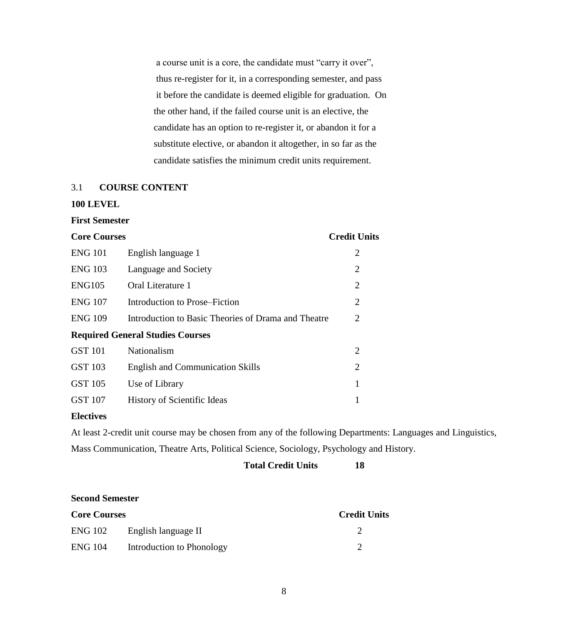a course unit is a core, the candidate must "carry it over", thus re-register for it, in a corresponding semester, and pass it before the candidate is deemed eligible for graduation. On the other hand, if the failed course unit is an elective, the candidate has an option to re-register it, or abandon it for a substitute elective, or abandon it altogether, in so far as the candidate satisfies the minimum credit units requirement.

# 3.1 **COURSE CONTENT**

#### **100 LEVEL**

#### **First Semester**

| <b>Core Courses</b> |                                                     | <b>Credit Units</b> |
|---------------------|-----------------------------------------------------|---------------------|
| <b>ENG 101</b>      | English language 1                                  | 2                   |
| <b>ENG 103</b>      | Language and Society                                | $\overline{2}$      |
| <b>ENG105</b>       | Oral Literature 1                                   | $\overline{2}$      |
| <b>ENG 107</b>      | Introduction to Prose–Fiction                       | $\overline{2}$      |
| <b>ENG 109</b>      | Introduction to Basic Theories of Drama and Theatre | 2                   |
|                     | <b>Required General Studies Courses</b>             |                     |
| <b>GST 101</b>      | Nationalism                                         | $\overline{2}$      |
| <b>GST 103</b>      | <b>English and Communication Skills</b>             | $\overline{2}$      |
| <b>GST 105</b>      | Use of Library                                      | 1                   |
| <b>GST 107</b>      | <b>History of Scientific Ideas</b>                  | 1                   |

#### **Electives**

At least 2-credit unit course may be chosen from any of the following Departments: Languages and Linguistics, Mass Communication, Theatre Arts, Political Science, Sociology, Psychology and History.

# **Total Credit Units 18**

#### **Second Semester**

| <b>Core Courses</b> |                             | <b>Credit Units</b> |
|---------------------|-----------------------------|---------------------|
|                     | ENG 102 English language II |                     |
| <b>ENG 104</b>      | Introduction to Phonology   |                     |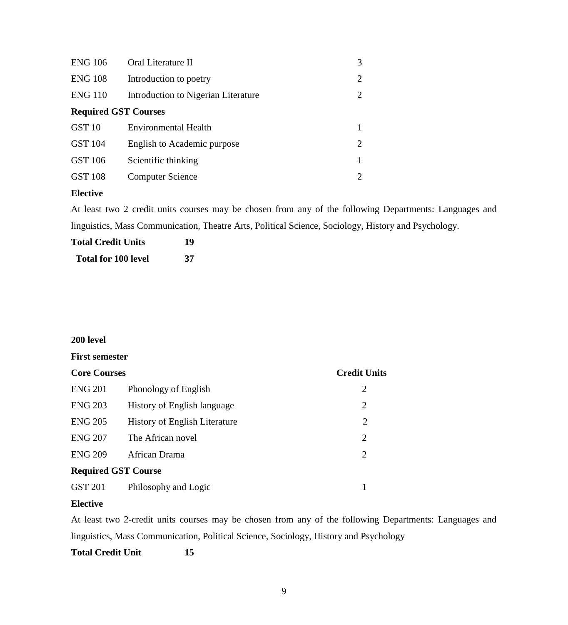| <b>ENG 106</b>              | Oral Literature II                  | 3 |
|-----------------------------|-------------------------------------|---|
| <b>ENG 108</b>              | Introduction to poetry              | 2 |
| <b>ENG 110</b>              | Introduction to Nigerian Literature | 2 |
| <b>Required GST Courses</b> |                                     |   |
| GST <sub>10</sub>           | <b>Environmental Health</b>         |   |
| <b>GST 104</b>              | English to Academic purpose         | 2 |
| GST 106                     | Scientific thinking                 |   |
| <b>GST 108</b>              | <b>Computer Science</b>             | 2 |
|                             |                                     |   |

# **Elective**

At least two 2 credit units courses may be chosen from any of the following Departments: Languages and linguistics, Mass Communication, Theatre Arts, Political Science, Sociology, History and Psychology.

| <b>Total Credit Units</b>  | 19 |
|----------------------------|----|
| <b>Total for 100 level</b> | 37 |

## **200 level**

#### **First semester**

| <b>Core Courses</b>        |                                      | <b>Credit Units</b> |
|----------------------------|--------------------------------------|---------------------|
| <b>ENG 201</b>             | Phonology of English                 | 2                   |
| <b>ENG 203</b>             | History of English language          | 2                   |
| <b>ENG 205</b>             | <b>History of English Literature</b> | 2                   |
| <b>ENG 207</b>             | The African novel                    | 2                   |
| <b>ENG 209</b>             | African Drama                        | 2                   |
| <b>Required GST Course</b> |                                      |                     |
| <b>GST 201</b>             | Philosophy and Logic                 |                     |

#### **Elective**

At least two 2-credit units courses may be chosen from any of the following Departments: Languages and linguistics, Mass Communication, Political Science, Sociology, History and Psychology

**Total Credit Unit 15**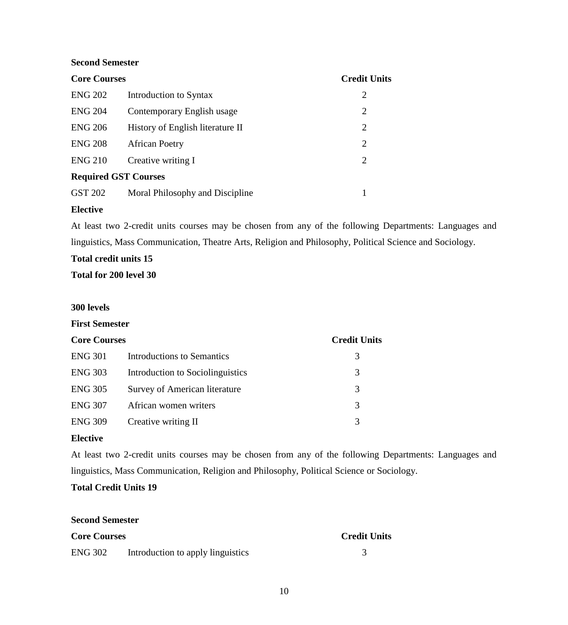#### **Second Semester**

| <b>Core Courses</b> |                                  | <b>Credit Units</b> |  |
|---------------------|----------------------------------|---------------------|--|
| <b>ENG 202</b>      | Introduction to Syntax           | 2                   |  |
| <b>ENG 204</b>      | Contemporary English usage       | $\overline{2}$      |  |
| <b>ENG 206</b>      | History of English literature II | 2                   |  |
| <b>ENG 208</b>      | <b>African Poetry</b>            | $\overline{2}$      |  |
| <b>ENG 210</b>      | Creative writing I               | 2                   |  |
|                     | <b>Required GST Courses</b>      |                     |  |
| GST 202             | Moral Philosophy and Discipline  |                     |  |

#### **Elective**

At least two 2-credit units courses may be chosen from any of the following Departments: Languages and linguistics, Mass Communication, Theatre Arts, Religion and Philosophy, Political Science and Sociology.

# **Total credit units 15**

**Total for 200 level 30**

#### **300 levels**

#### **First Semester**

| <b>Core Courses</b> |                                  | <b>Credit Units</b> |
|---------------------|----------------------------------|---------------------|
| <b>ENG 301</b>      | Introductions to Semantics       | 3                   |
| <b>ENG 303</b>      | Introduction to Sociolinguistics | 3                   |
| <b>ENG 305</b>      | Survey of American literature    | 3                   |
| <b>ENG 307</b>      | African women writers            | 3                   |
| <b>ENG 309</b>      | Creative writing II              | 3                   |

#### **Elective**

At least two 2-credit units courses may be chosen from any of the following Departments: Languages and linguistics, Mass Communication, Religion and Philosophy, Political Science or Sociology.

# **Total Credit Units 19**

# **Second Semester**

| <b>Core Courses</b> |                                   | <b>Credit Units</b> |
|---------------------|-----------------------------------|---------------------|
| <b>ENG 302</b>      | Introduction to apply linguistics |                     |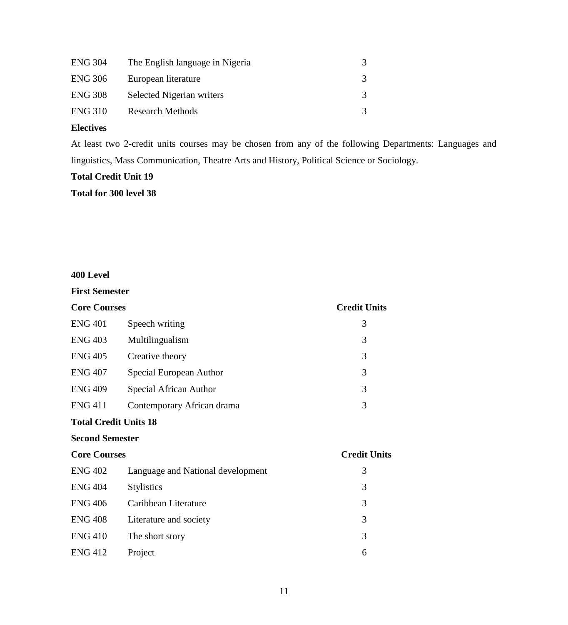| <b>ENG 304</b> | The English language in Nigeria |  |
|----------------|---------------------------------|--|
| <b>ENG 306</b> | European literature             |  |
| <b>ENG 308</b> | Selected Nigerian writers       |  |
| <b>ENG 310</b> | <b>Research Methods</b>         |  |

# **Electives**

At least two 2-credit units courses may be chosen from any of the following Departments: Languages and linguistics, Mass Communication, Theatre Arts and History, Political Science or Sociology.

# **Total Credit Unit 19**

**Total for 300 level 38**

# **400 Level**

| <b>First Semester</b>        |                                   |                     |
|------------------------------|-----------------------------------|---------------------|
| <b>Core Courses</b>          | <b>Credit Units</b>               |                     |
| <b>ENG 401</b>               | Speech writing                    | 3                   |
| <b>ENG 403</b>               | Multilingualism                   | 3                   |
| <b>ENG 405</b>               | Creative theory                   | 3                   |
| <b>ENG 407</b>               | Special European Author           | 3                   |
| <b>ENG 409</b>               | Special African Author            | 3                   |
| <b>ENG 411</b>               | Contemporary African drama        | 3                   |
| <b>Total Credit Units 18</b> |                                   |                     |
| <b>Second Semester</b>       |                                   |                     |
| <b>Core Courses</b>          |                                   | <b>Credit Units</b> |
| <b>ENG 402</b>               | Language and National development | 3                   |
| <b>ENG 404</b>               | <b>Stylistics</b>                 | 3                   |
| <b>ENG 406</b>               | Caribbean Literature              | 3                   |
| <b>ENG 408</b>               | Literature and society            | 3                   |
| <b>ENG 410</b>               | The short story                   | 3                   |
| <b>ENG 412</b>               | Project                           | 6                   |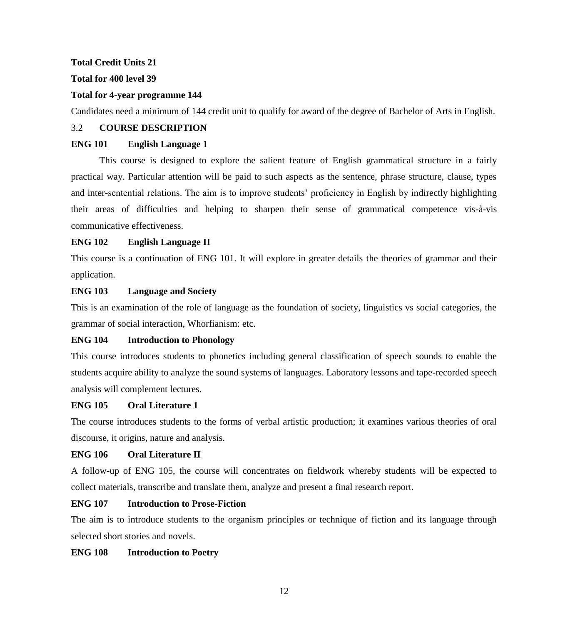#### **Total Credit Units 21**

## **Total for 400 level 39**

## **Total for 4-year programme 144**

Candidates need a minimum of 144 credit unit to qualify for award of the degree of Bachelor of Arts in English.

#### 3.2 **COURSE DESCRIPTION**

## **ENG 101 English Language 1**

This course is designed to explore the salient feature of English grammatical structure in a fairly practical way. Particular attention will be paid to such aspects as the sentence, phrase structure, clause, types and inter-sentential relations. The aim is to improve students' proficiency in English by indirectly highlighting their areas of difficulties and helping to sharpen their sense of grammatical competence vis-à-vis communicative effectiveness.

# **ENG 102 English Language II**

This course is a continuation of ENG 101. It will explore in greater details the theories of grammar and their application.

## **ENG 103 Language and Society**

This is an examination of the role of language as the foundation of society, linguistics vs social categories, the grammar of social interaction, Whorfianism: etc.

#### **ENG 104 Introduction to Phonology**

This course introduces students to phonetics including general classification of speech sounds to enable the students acquire ability to analyze the sound systems of languages. Laboratory lessons and tape-recorded speech analysis will complement lectures.

#### **ENG 105 Oral Literature 1**

The course introduces students to the forms of verbal artistic production; it examines various theories of oral discourse, it origins, nature and analysis.

#### **ENG 106 Oral Literature II**

A follow-up of ENG 105, the course will concentrates on fieldwork whereby students will be expected to collect materials, transcribe and translate them, analyze and present a final research report.

## **ENG 107 Introduction to Prose-Fiction**

The aim is to introduce students to the organism principles or technique of fiction and its language through selected short stories and novels.

# **ENG 108 Introduction to Poetry**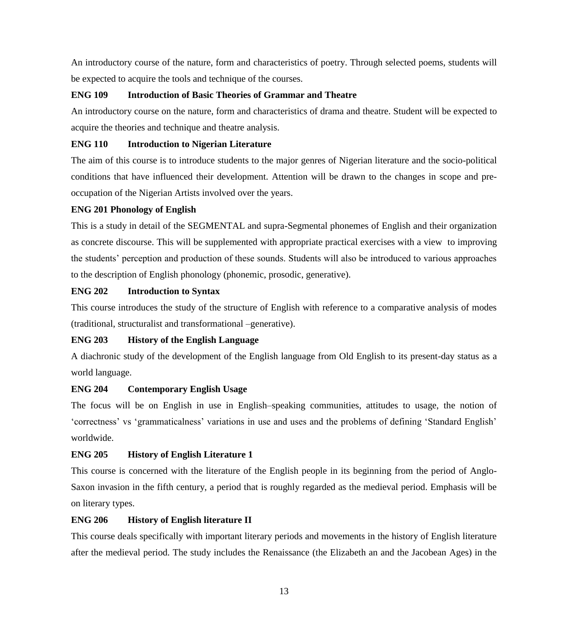An introductory course of the nature, form and characteristics of poetry. Through selected poems, students will be expected to acquire the tools and technique of the courses.

## **ENG 109 Introduction of Basic Theories of Grammar and Theatre**

An introductory course on the nature, form and characteristics of drama and theatre. Student will be expected to acquire the theories and technique and theatre analysis.

## **ENG 110 Introduction to Nigerian Literature**

The aim of this course is to introduce students to the major genres of Nigerian literature and the socio-political conditions that have influenced their development. Attention will be drawn to the changes in scope and preoccupation of the Nigerian Artists involved over the years.

## **ENG 201 Phonology of English**

This is a study in detail of the SEGMENTAL and supra-Segmental phonemes of English and their organization as concrete discourse. This will be supplemented with appropriate practical exercises with a view to improving the students" perception and production of these sounds. Students will also be introduced to various approaches to the description of English phonology (phonemic, prosodic, generative).

## **ENG 202 Introduction to Syntax**

This course introduces the study of the structure of English with reference to a comparative analysis of modes (traditional, structuralist and transformational –generative).

# **ENG 203 History of the English Language**

A diachronic study of the development of the English language from Old English to its present-day status as a world language.

# **ENG 204 Contemporary English Usage**

The focus will be on English in use in English–speaking communities, attitudes to usage, the notion of "correctness" vs "grammaticalness" variations in use and uses and the problems of defining "Standard English" worldwide.

# **ENG 205 History of English Literature 1**

This course is concerned with the literature of the English people in its beginning from the period of Anglo-Saxon invasion in the fifth century, a period that is roughly regarded as the medieval period. Emphasis will be on literary types.

## **ENG 206 History of English literature II**

This course deals specifically with important literary periods and movements in the history of English literature after the medieval period. The study includes the Renaissance (the Elizabeth an and the Jacobean Ages) in the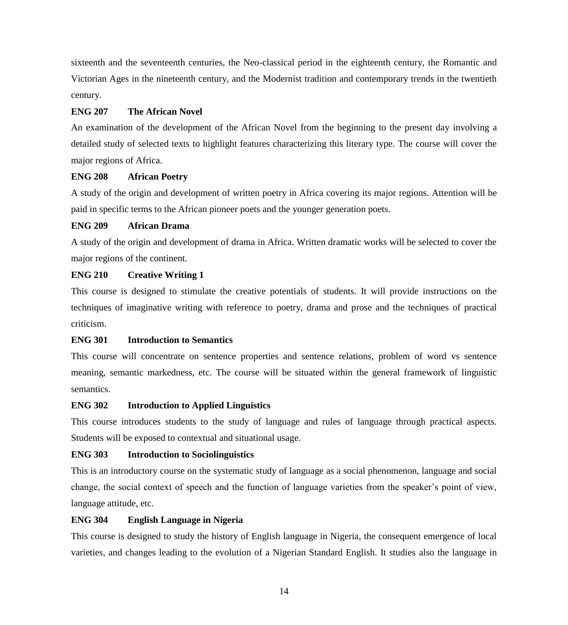sixteenth and the seventeenth centuries, the Neo-classical period in the eighteenth century, the Romantic and Victorian Ages in the nineteenth century, and the Modernist tradition and contemporary trends in the twentieth century.

#### **ENG 207 The African Novel**

An examination of the development of the African Novel from the beginning to the present day involving a detailed study of selected texts to highlight features characterizing this literary type. The course will cover the major regions of Africa.

#### **ENG 208 African Poetry**

A study of the origin and development of written poetry in Africa covering its major regions. Attention will be paid in specific terms to the African pioneer poets and the younger generation poets.

## **ENG 209 African Drama**

A study of the origin and development of drama in Africa. Written dramatic works will be selected to cover the major regions of the continent.

## **ENG 210 Creative Writing 1**

This course is designed to stimulate the creative potentials of students. It will provide instructions on the techniques of imaginative writing with reference to poetry, drama and prose and the techniques of practical criticism.

#### **ENG 301 Introduction to Semantics**

This course will concentrate on sentence properties and sentence relations, problem of word vs sentence meaning, semantic markedness, etc. The course will be situated within the general framework of linguistic semantics.

#### **ENG 302 Introduction to Applied Linguistics**

This course introduces students to the study of language and rules of language through practical aspects. Students will be exposed to contextual and situational usage.

# **ENG 303 Introduction to Sociolinguistics**

This is an introductory course on the systematic study of language as a social phenomenon, language and social change, the social context of speech and the function of language varieties from the speaker"s point of view, language attitude, etc.

# **ENG 304 English Language in Nigeria**

This course is designed to study the history of English language in Nigeria, the consequent emergence of local varieties, and changes leading to the evolution of a Nigerian Standard English. It studies also the language in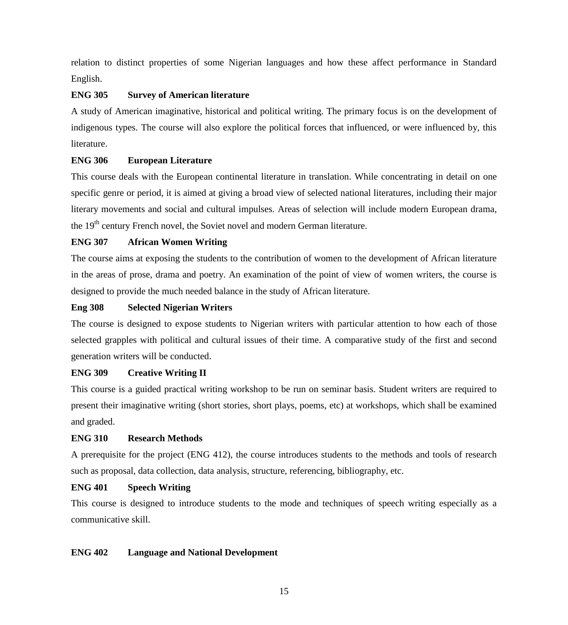relation to distinct properties of some Nigerian languages and how these affect performance in Standard English.

#### **ENG 305 Survey of American literature**

A study of American imaginative, historical and political writing. The primary focus is on the development of indigenous types. The course will also explore the political forces that influenced, or were influenced by, this literature.

#### **ENG 306 European Literature**

This course deals with the European continental literature in translation. While concentrating in detail on one specific genre or period, it is aimed at giving a broad view of selected national literatures, including their major literary movements and social and cultural impulses. Areas of selection will include modern European drama, the 19<sup>th</sup> century French novel, the Soviet novel and modern German literature.

#### **ENG 307 African Women Writing**

The course aims at exposing the students to the contribution of women to the development of African literature in the areas of prose, drama and poetry. An examination of the point of view of women writers, the course is designed to provide the much needed balance in the study of African literature.

#### **Eng 308 Selected Nigerian Writers**

The course is designed to expose students to Nigerian writers with particular attention to how each of those selected grapples with political and cultural issues of their time. A comparative study of the first and second generation writers will be conducted.

#### **ENG 309 Creative Writing II**

This course is a guided practical writing workshop to be run on seminar basis. Student writers are required to present their imaginative writing (short stories, short plays, poems, etc) at workshops, which shall be examined and graded.

## **ENG 310 Research Methods**

A prerequisite for the project (ENG 412), the course introduces students to the methods and tools of research such as proposal, data collection, data analysis, structure, referencing, bibliography, etc.

#### **ENG 401 Speech Writing**

This course is designed to introduce students to the mode and techniques of speech writing especially as a communicative skill.

#### **ENG 402 Language and National Development**

15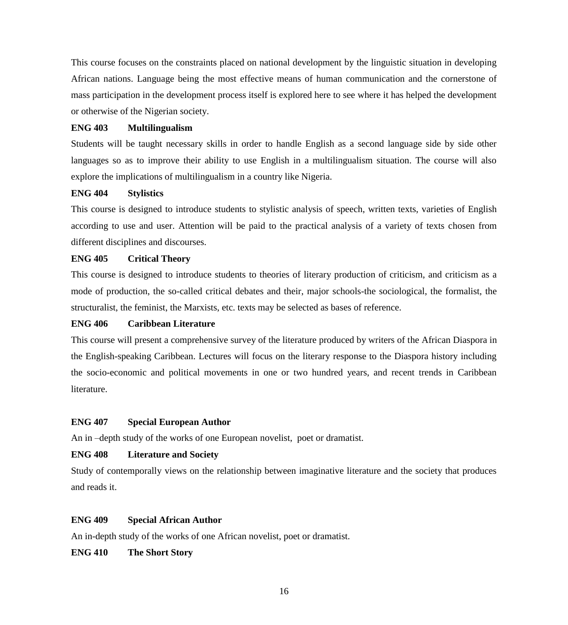This course focuses on the constraints placed on national development by the linguistic situation in developing African nations. Language being the most effective means of human communication and the cornerstone of mass participation in the development process itself is explored here to see where it has helped the development or otherwise of the Nigerian society.

#### **ENG 403 Multilingualism**

Students will be taught necessary skills in order to handle English as a second language side by side other languages so as to improve their ability to use English in a multilingualism situation. The course will also explore the implications of multilingualism in a country like Nigeria.

#### **ENG 404 Stylistics**

This course is designed to introduce students to stylistic analysis of speech, written texts, varieties of English according to use and user. Attention will be paid to the practical analysis of a variety of texts chosen from different disciplines and discourses.

#### **ENG 405 Critical Theory**

This course is designed to introduce students to theories of literary production of criticism, and criticism as a mode of production, the so-called critical debates and their, major schools-the sociological, the formalist, the structuralist, the feminist, the Marxists, etc. texts may be selected as bases of reference.

#### **ENG 406 Caribbean Literature**

This course will present a comprehensive survey of the literature produced by writers of the African Diaspora in the English-speaking Caribbean. Lectures will focus on the literary response to the Diaspora history including the socio-economic and political movements in one or two hundred years, and recent trends in Caribbean literature.

#### **ENG 407 Special European Author**

An in –depth study of the works of one European novelist, poet or dramatist.

#### **ENG 408 Literature and Society**

Study of contemporally views on the relationship between imaginative literature and the society that produces and reads it.

#### **ENG 409 Special African Author**

An in-depth study of the works of one African novelist, poet or dramatist.

**ENG 410 The Short Story**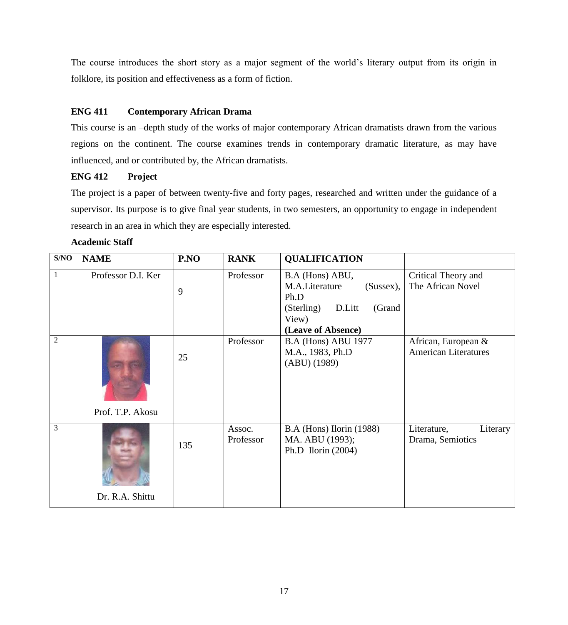The course introduces the short story as a major segment of the world"s literary output from its origin in folklore, its position and effectiveness as a form of fiction.

# **ENG 411 Contemporary African Drama**

This course is an –depth study of the works of major contemporary African dramatists drawn from the various regions on the continent. The course examines trends in contemporary dramatic literature, as may have influenced, and or contributed by, the African dramatists.

# **ENG 412 Project**

The project is a paper of between twenty-five and forty pages, researched and written under the guidance of a supervisor. Its purpose is to give final year students, in two semesters, an opportunity to engage in independent research in an area in which they are especially interested.

| S/NO           | <b>NAME</b>        | P.NO | <b>RANK</b>         | <b>QUALIFICATION</b>                                                                                                       |                                                    |
|----------------|--------------------|------|---------------------|----------------------------------------------------------------------------------------------------------------------------|----------------------------------------------------|
| $\mathbf{1}$   | Professor D.I. Ker | 9    | Professor           | B.A (Hons) ABU,<br>M.A.Literature<br>$(Sussex)$ ,<br>Ph.D<br>(Sterling)<br>(Grand<br>D.Litt<br>View)<br>(Leave of Absence) | Critical Theory and<br>The African Novel           |
| $\overline{2}$ | Prof. T.P. Akosu   | 25   | Professor           | <b>B.A (Hons) ABU 1977</b><br>M.A., 1983, Ph.D<br>$(ABU)$ (1989)                                                           | African, European &<br><b>American Literatures</b> |
| 3              | Dr. R.A. Shittu    | 135  | Assoc.<br>Professor | B.A (Hons) Ilorin (1988)<br>MA. ABU (1993);<br>Ph.D Ilorin $(2004)$                                                        | Literature,<br>Literary<br>Drama, Semiotics        |

#### **Academic Staff**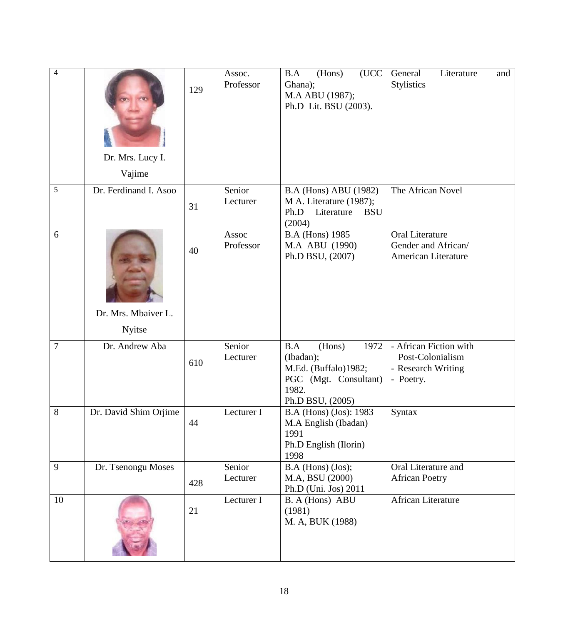| $\overline{4}$ | Dr. Mrs. Lucy I.<br>Vajime    | 129 | Assoc.<br>Professor | B.A<br>(Hons)<br>(UCC<br>Ghana);<br>M.A ABU (1987);<br>Ph.D Lit. BSU (2003).                                     | General<br>Literature<br>and<br><b>Stylistics</b>                             |
|----------------|-------------------------------|-----|---------------------|------------------------------------------------------------------------------------------------------------------|-------------------------------------------------------------------------------|
| 5              | Dr. Ferdinand I. Asoo         | 31  | Senior<br>Lecturer  | <b>B.A (Hons) ABU (1982)</b><br>M A. Literature (1987);<br>Literature<br>Ph.D<br><b>BSU</b><br>(2004)            | The African Novel                                                             |
| 6              | Dr. Mrs. Mbaiver L.<br>Nyitse | 40  | Assoc<br>Professor  | <b>B.A</b> (Hons) 1985<br>M.A ABU (1990)<br>Ph.D BSU, (2007)                                                     | <b>Oral Literature</b><br>Gender and African/<br>American Literature          |
| $\overline{7}$ | Dr. Andrew Aba                | 610 | Senior<br>Lecturer  | 1972<br>B.A<br>(Hons)<br>(Ibadan);<br>M.Ed. (Buffalo)1982;<br>PGC (Mgt. Consultant)<br>1982.<br>Ph.D BSU, (2005) | - African Fiction with<br>Post-Colonialism<br>- Research Writing<br>- Poetry. |
| 8              | Dr. David Shim Orjime         | 44  | Lecturer I          | B.A (Hons) (Jos): 1983<br>M.A English (Ibadan)<br>1991<br>Ph.D English (Ilorin)<br>1998                          | Syntax                                                                        |
| 9              | Dr. Tsenongu Moses            | 428 | Senior<br>Lecturer  | $B.A$ (Hons) (Jos);<br>M.A, BSU (2000)<br>Ph.D (Uni. Jos) 2011                                                   | Oral Literature and<br><b>African Poetry</b>                                  |
| 10             |                               | 21  | Lecturer I          | B. A (Hons) ABU<br>(1981)<br>M. A, BUK (1988)                                                                    | African Literature                                                            |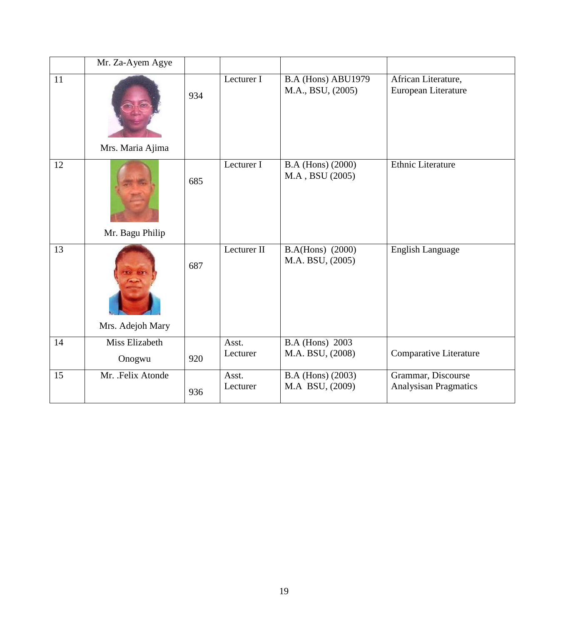|    | Mr. Za-Ayem Agye         |     |                   |                                            |                                                    |
|----|--------------------------|-----|-------------------|--------------------------------------------|----------------------------------------------------|
| 11 | Mrs. Maria Ajima         | 934 | Lecturer I        | B.A (Hons) ABU1979<br>M.A., BSU, (2005)    | African Literature,<br>European Literature         |
| 12 | Mr. Bagu Philip          | 685 | Lecturer I        | B.A (Hons) (2000)<br>M.A, BSU (2005)       | <b>Ethnic Literature</b>                           |
| 13 | Mrs. Adejoh Mary         | 687 | Lecturer II       | B.A(Hons) (2000)<br>M.A. BSU, (2005)       | <b>English Language</b>                            |
| 14 | Miss Elizabeth<br>Onogwu | 920 | Asst.<br>Lecturer | <b>B.A</b> (Hons) 2003<br>M.A. BSU, (2008) | Comparative Literature                             |
| 15 | Mr. Felix Atonde         | 936 | Asst.<br>Lecturer | B.A (Hons) (2003)<br>M.A BSU, (2009)       | Grammar, Discourse<br><b>Analysisan Pragmatics</b> |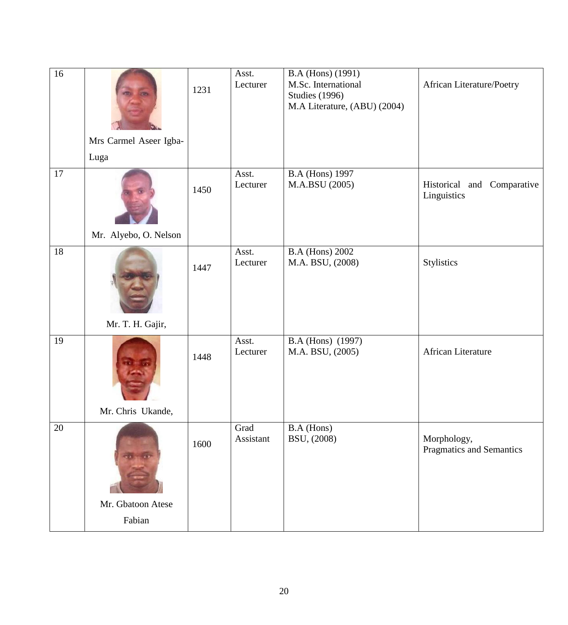| 16 | Mrs Carmel Aseer Igba- | 1231 | Asst.<br>Lecturer | B.A (Hons) (1991)<br>M.Sc. International<br><b>Studies (1996)</b><br>M.A Literature, (ABU) (2004) | African Literature/Poetry                 |
|----|------------------------|------|-------------------|---------------------------------------------------------------------------------------------------|-------------------------------------------|
|    | Luga                   |      |                   |                                                                                                   |                                           |
| 17 |                        | 1450 | Asst.<br>Lecturer | <b>B.A</b> (Hons) 1997<br>M.A.BSU (2005)                                                          | Historical and Comparative<br>Linguistics |
|    | Mr. Alyebo, O. Nelson  |      |                   |                                                                                                   |                                           |
| 18 |                        | 1447 | Asst.<br>Lecturer | <b>B.A</b> (Hons) 2002<br>M.A. BSU, (2008)                                                        | Stylistics                                |
|    | Mr. T. H. Gajir,       |      |                   |                                                                                                   |                                           |
| 19 |                        | 1448 | Asst.<br>Lecturer | B.A (Hons) (1997)<br>M.A. BSU, (2005)                                                             | African Literature                        |
|    | Mr. Chris Ukande,      |      |                   |                                                                                                   |                                           |
| 20 |                        | 1600 | Grad<br>Assistant | B.A (Hons)<br>BSU, (2008)                                                                         | Morphology,<br>Pragmatics and Semantics   |
|    | Mr. Gbatoon Atese      |      |                   |                                                                                                   |                                           |
|    | Fabian                 |      |                   |                                                                                                   |                                           |